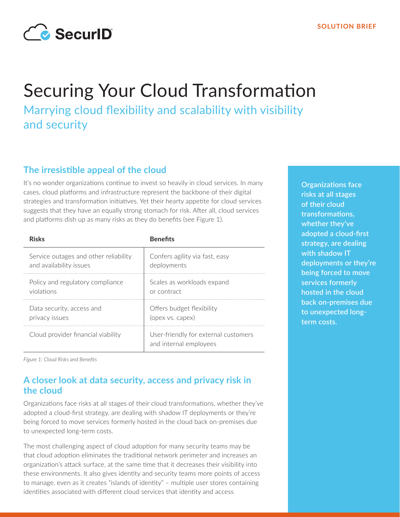

# Securing Your Cloud Transformation

Marrying cloud flexibility and scalability with visibility and security

## **The irresistible appeal of the cloud**

It's no wonder organizations continue to invest so heavily in cloud services. In many cases, cloud platforms and infrastructure represent the backbone of their digital strategies and transformation initiatives. Yet their hearty appetite for cloud services suggests that they have an equally strong stomach for risk. After all, cloud services and platforms dish up as many risks as they do benefits (see Figure 1).

| <b>Risks</b>                          | <b>Benefits</b>                                                |
|---------------------------------------|----------------------------------------------------------------|
| Service outages and other reliability | Confers agility via fast, easy                                 |
| and availability issues               | deployments                                                    |
| Policy and regulatory compliance      | Scales as workloads expand                                     |
| violations                            | or contract                                                    |
| Data security, access and             | Offers budget flexibility                                      |
| privacy issues                        | (opex vs. capex)                                               |
| Cloud provider financial viability    | User-friendly for external customers<br>and internal employees |

**Organizations face risks at all stages of their cloud transformations, whether they've adopted a cloud-first strategy, are dealing with shadow IT deployments or they're being forced to move services formerly hosted in the cloud back on-premises due to unexpected longterm costs.**

*Figure 1: Cloud Risks and Benefits*

## **A closer look at data security, access and privacy risk in the cloud**

Organizations face risks at all stages of their cloud transformations, whether they've adopted a cloud-first strategy, are dealing with shadow IT deployments or they're being forced to move services formerly hosted in the cloud back on-premises due to unexpected long-term costs.

The most challenging aspect of cloud adoption for many security teams may be that cloud adoption eliminates the traditional network perimeter and increases an organization's attack surface, at the same time that it decreases their visibility into these environments. It also gives identity and security teams more points of access to manage, even as it creates "islands of identity" – multiple user stores containing identities associated with different cloud services that identity and access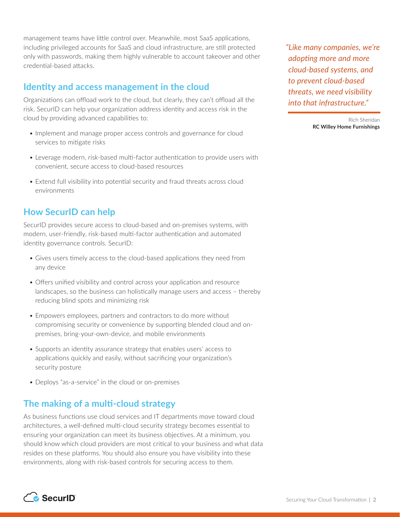management teams have little control over. Meanwhile, most SaaS applications, including privileged accounts for SaaS and cloud infrastructure, are still protected only with passwords, making them highly vulnerable to account takeover and other credential-based attacks.

#### **Identity and access management in the cloud**

Organizations can offload work to the cloud, but clearly, they can't offload all the risk. SecurID can help your organization address identity and access risk in the cloud by providing advanced capabilities to:

- Implement and manage proper access controls and governance for cloud services to mitigate risks
- Leverage modern, risk-based multi-factor authentication to provide users with convenient, secure access to cloud-based resources
- Extend full visibility into potential security and fraud threats across cloud environments

#### **How SecurID can help**

SecurID provides secure access to cloud-based and on-premises systems, with modern, user-friendly, risk-based multi-factor authentication and automated identity governance controls. SecurID:

- Gives users timely access to the cloud-based applications they need from any device
- Offers unified visibility and control across your application and resource landscapes, so the business can holistically manage users and access – thereby reducing blind spots and minimizing risk
- Empowers employees, partners and contractors to do more without compromising security or convenience by supporting blended cloud and onpremises, bring-your-own-device, and mobile environments
- Supports an identity assurance strategy that enables users' access to applications quickly and easily, without sacrificing your organization's security posture
- Deploys "as-a-service" in the cloud or on-premises

#### **The making of a multi-cloud strategy**

As business functions use cloud services and IT departments move toward cloud architectures, a well-defined multi-cloud security strategy becomes essential to ensuring your organization can meet its business objectives. At a minimum, you should know which cloud providers are most critical to your business and what data resides on these platforms. You should also ensure you have visibility into these environments, along with risk-based controls for securing access to them.

*"Like many companies, we're adopting more and more cloud-based systems, and to prevent cloud-based threats, we need visibility into that infrastructure."*

> Rich Sheridan **RC Willey Home Furnishings**